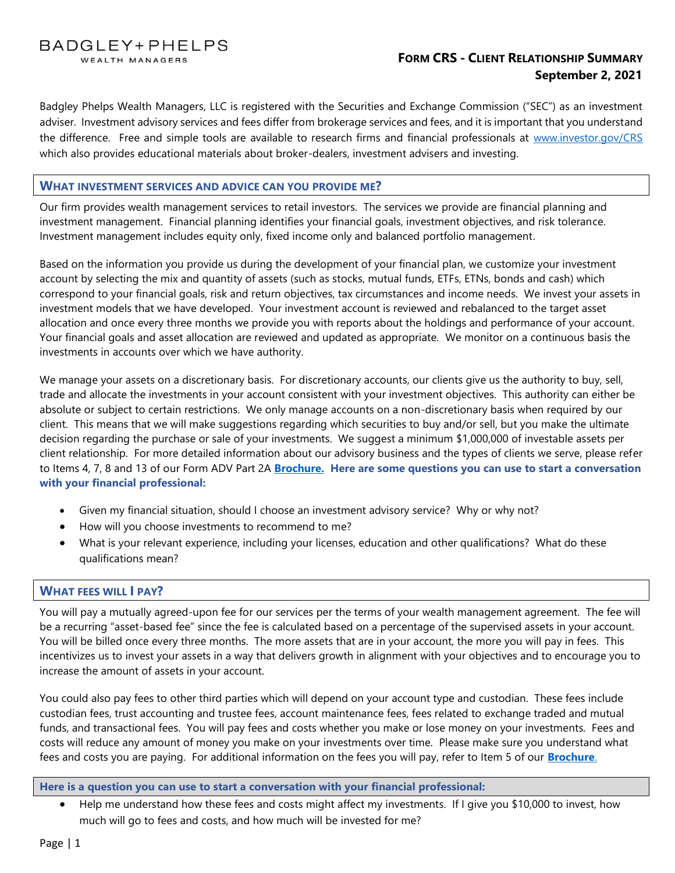BADGLEY+PHELPS WEALTH MANAGERS

# **FORM CRS - CLIENT RELATIONSHIP SUMMARY September 2, 2021**

Badgley Phelps Wealth Managers, LLC is registered with the Securities and Exchange Commission ("SEC") as an investment adviser. Investment advisory services and fees differ from brokerage services and fees, and it is important that you understand the difference. Free and simple tools are available to research firms and financial professionals at [www.investor.gov/CRS](http://www.investor.gov/CRS) which also provides educational materials about broker-dealers, investment advisers and investing.

## **WHAT INVESTMENT SERVICES AND ADVICE CAN YOU PROVIDE ME?**

Our firm provides wealth management services to retail investors. The services we provide are financial planning and investment management. Financial planning identifies your financial goals, investment objectives, and risk tolerance. Investment management includes equity only, fixed income only and balanced portfolio management.

Based on the information you provide us during the development of your financial plan, we customize your investment account by selecting the mix and quantity of assets (such as stocks, mutual funds, ETFs, ETNs, bonds and cash) which correspond to your financial goals, risk and return objectives, tax circumstances and income needs. We invest your assets in investment models that we have developed. Your investment account is reviewed and rebalanced to the target asset allocation and once every three months we provide you with reports about the holdings and performance of your account. Your financial goals and asset allocation are reviewed and updated as appropriate. We monitor on a continuous basis the investments in accounts over which we have authority.

We manage your assets on a discretionary basis. For discretionary accounts, our clients give us the authority to buy, sell, trade and allocate the investments in your account consistent with your investment objectives. This authority can either be absolute or subject to certain restrictions. We only manage accounts on a non-discretionary basis when required by our client. This means that we will make suggestions regarding which securities to buy and/or sell, but you make the ultimate decision regarding the purchase or sale of your investments. We suggest a minimum \$1,000,000 of investable assets per client relationship. For more detailed information about our advisory business and the types of clients we serve, please refer to Items 4, 7, 8 and 13 of our Form ADV Part 2A **[Brochure.](https://bit.ly/BP_ADV2a22) Here are some questions you can use to start a conversation with your financial professional:**

- Given my financial situation, should I choose an investment advisory service? Why or why not?
- How will you choose investments to recommend to me?
- What is your relevant experience, including your licenses, education and other qualifications? What do these qualifications mean?

# **WHAT FEES WILL I PAY?**

You will pay a mutually agreed-upon fee for our services per the terms of your wealth management agreement. The fee will be a recurring "asset-based fee" since the fee is calculated based on a percentage of the supervised assets in your account. You will be billed once every three months. The more assets that are in your account, the more you will pay in fees. This incentivizes us to invest your assets in a way that delivers growth in alignment with your objectives and to encourage you to increase the amount of assets in your account.

You could also pay fees to other third parties which will depend on your account type and custodian. These fees include custodian fees, trust accounting and trustee fees, account maintenance fees, fees related to exchange traded and mutual funds, and transactional fees. You will pay fees and costs whether you make or lose money on your investments. Fees and costs will reduce any amount of money you make on your investments over time. Please make sure you understand what fees and costs you are paying.For additional information on the fees you will pay, refer to Item 5 of our **[Brochure](https://bit.ly/BP_ADV2a22)**.

## **Here is a question you can use to start a conversation with your financial professional:**

• Help me understand how these fees and costs might affect my investments. If I give you \$10,000 to invest, how much will go to fees and costs, and how much will be invested for me?